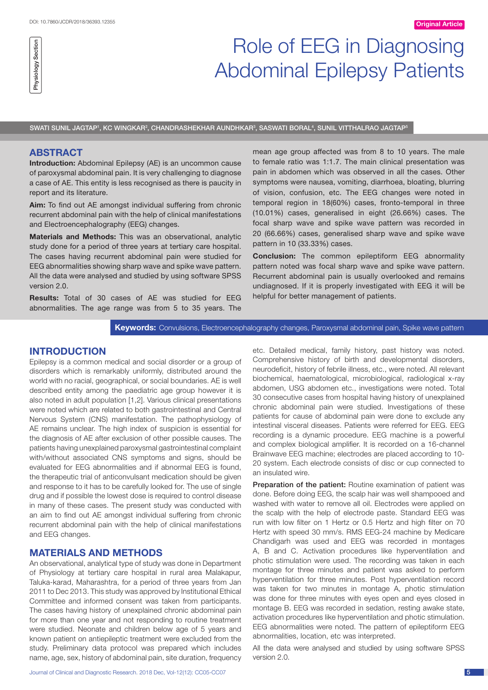# Role of EEG in Diagnosing Abdominal Epilepsy Patients

SWATI SUNIL JAGTAP', KC WINGKAR<sup>2</sup>, CHANDRASHEKHAR AUNDHKAR $^{\rm a}$ , SASWATI BORAL $^{\rm a}$ , SUNIL VITTHALRAO JAGTAP $^{\rm a}$ 

## **ABSTRACT**

Physiology Section

Physiology Section

**Introduction:** Abdominal Epilepsy (AE) is an uncommon cause of paroxysmal abdominal pain. It is very challenging to diagnose a case of AE. This entity is less recognised as there is paucity in report and its literature.

**Aim:** To find out AE amongst individual suffering from chronic recurrent abdominal pain with the help of clinical manifestations and Electroencephalography (EEG) changes.

**Materials and Methods:** This was an observational, analytic study done for a period of three years at tertiary care hospital. The cases having recurrent abdominal pain were studied for EEG abnormalities showing sharp wave and spike wave pattern. All the data were analysed and studied by using software SPSS version 2.0.

**Results:** Total of 30 cases of AE was studied for EEG abnormalities. The age range was from 5 to 35 years. The mean age group affected was from 8 to 10 years. The male to female ratio was 1:1.7. The main clinical presentation was pain in abdomen which was observed in all the cases. Other symptoms were nausea, vomiting, diarrhoea, bloating, blurring of vision, confusion, etc. The EEG changes were noted in temporal region in 18(60%) cases, fronto-temporal in three (10.01%) cases, generalised in eight (26.66%) cases. The focal sharp wave and spike wave pattern was recorded in 20 (66.66%) cases, generalised sharp wave and spike wave pattern in 10 (33.33%) cases.

**Conclusion:** The common epileptiform EEG abnormality pattern noted was focal sharp wave and spike wave pattern. Recurrent abdominal pain is usually overlooked and remains undiagnosed. If it is properly investigated with EEG it will be helpful for better management of patients.

**Keywords:** Convulsions, Electroencephalography changes, Paroxysmal abdominal pain, Spike wave pattern

# **Introduction**

Epilepsy is a common medical and social disorder or a group of disorders which is remarkably uniformly, distributed around the world with no racial, geographical, or social boundaries. AE is well described entity among the paediatric age group however it is also noted in adult population [1,2]. Various clinical presentations were noted which are related to both gastrointestinal and Central Nervous System (CNS) manifestation. The pathophysiology of AE remains unclear. The high index of suspicion is essential for the diagnosis of AE after exclusion of other possible causes. The patients having unexplained paroxysmal gastrointestinal complaint with/without associated CNS symptoms and signs, should be evaluated for EEG abnormalities and if abnormal EEG is found, the therapeutic trial of anticonvulsant medication should be given and response to it has to be carefully looked for. The use of single drug and if possible the lowest dose is required to control disease in many of these cases. The present study was conducted with an aim to find out AE amongst individual suffering from chronic recurrent abdominal pain with the help of clinical manifestations and EEG changes.

# **MATERIALS AND METHODS**

An observational, analytical type of study was done in Department of Physiology at tertiary care hospital in rural area Malakapur, Taluka-karad, Maharashtra, for a period of three years from Jan 2011 to Dec 2013. This study was approved by Institutional Ethical Committee and informed consent was taken from participants. The cases having history of unexplained chronic abdominal pain for more than one year and not responding to routine treatment were studied. Neonate and children below age of 5 years and known patient on antiepileptic treatment were excluded from the study. Preliminary data protocol was prepared which includes name, age, sex, history of abdominal pain, site duration, frequency etc. Detailed medical, family history, past history was noted. Comprehensive history of birth and developmental disorders, neurodeficit, history of febrile illness, etc., were noted. All relevant biochemical, haematological, microbiological, radiological x-ray abdomen, USG abdomen etc., investigations were noted. Total 30 consecutive cases from hospital having history of unexplained chronic abdominal pain were studied. Investigations of these patients for cause of abdominal pain were done to exclude any intestinal visceral diseases. Patients were referred for EEG. EEG recording is a dynamic procedure. EEG machine is a powerful and complex biological amplifier. It is recorded on a 16-channel Brainwave EEG machine; electrodes are placed according to 10- 20 system. Each electrode consists of disc or cup connected to an insulated wire.

Preparation of the patient: Routine examination of patient was done. Before doing EEG, the scalp hair was well shampooed and washed with water to remove all oil. Electrodes were applied on the scalp with the help of electrode paste. Standard EEG was run with low filter on 1 Hertz or 0.5 Hertz and high filter on 70 Hertz with speed 30 mm/s. RMS EEG-24 machine by Medicare Chandigarh was used and EEG was recorded in montages A, B and C. Activation procedures like hyperventilation and photic stimulation were used. The recording was taken in each montage for three minutes and patient was asked to perform hyperventilation for three minutes. Post hyperventilation record was taken for two minutes in montage A, photic stimulation was done for three minutes with eyes open and eyes closed in montage B. EEG was recorded in sedation, resting awake state, activation procedures like hyperventilation and photic stimulation. EEG abnormalities were noted. The pattern of epileptiform EEG abnormalities, location, etc was interpreted.

All the data were analysed and studied by using software SPSS version 2.0.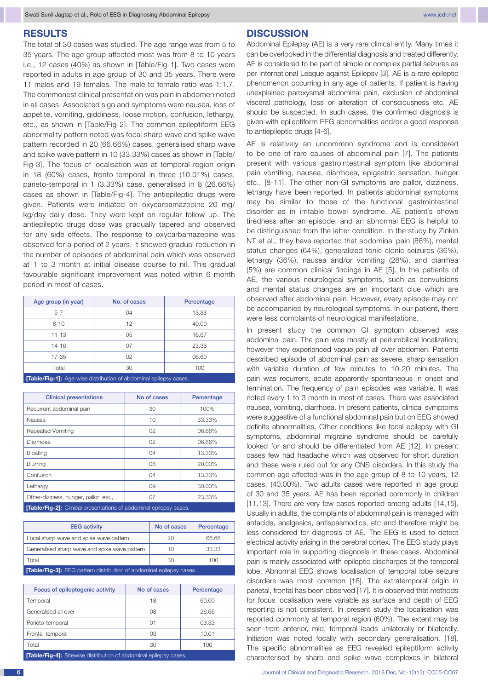## **RESULTS**

The total of 30 cases was studied. The age range was from 5 to 35 years. The age group affected most was from 8 to 10 years i.e., 12 cases (40%) as shown in [Table/Fig-1]. Two cases were reported in adults in age group of 30 and 35 years. There were 11 males and 19 females. The male to female ratio was 1:1.7. The commonest clinical presentation was pain in abdomen noted in all cases. Associated sign and symptoms were nausea, loss of appetite, vomiting, giddiness, loose motion, confusion, lethargy, etc., as shown in [Table/Fig-2]. The common epileptiform EEG abnormality pattern noted was focal sharp wave and spike wave pattern recorded in 20 (66.66%) cases, generalised sharp wave and spike wave pattern in 10 (33.33%) cases as shown in [Table/ Fig-3]. The focus of localisation was at temporal region origin in 18 (60%) cases, fronto-temporal in three (10.01%) cases, parieto-temporal in 1 (3.33%) case, generalised in 8 (26.66%) cases as shown in [Table/Fig-4]. The antiepileptic drugs were given. Patients were initiated on oxycarbamazepine 20 mg/ kg/day daily dose. They were kept on regular follow up. The antiepileptic drugs dose was gradually tapered and observed for any side effects. The response to oxycarbamazepine was observed for a period of 2 years. It showed gradual reduction in the number of episodes of abdominal pain which was observed at 1 to 3 month at initial disease course to nil. This gradual favourable significant improvement was noted within 6 month period in most of cases.

| Age group (in year)                                                                                                              | No. of cases | Percentage |  |  |
|----------------------------------------------------------------------------------------------------------------------------------|--------------|------------|--|--|
| $5 - 7$                                                                                                                          | 04           | 13.33      |  |  |
| $8 - 10$                                                                                                                         | 12           | 40.00      |  |  |
| $11 - 13$                                                                                                                        | 05           | 16.67      |  |  |
| $14 - 16$                                                                                                                        | 07           | 23.33      |  |  |
| $17 - 35$                                                                                                                        | 02           | 06.60      |  |  |
| Total                                                                                                                            | 30           | 100        |  |  |
| the contract of the contract of the contract of the contract of the contract of the contract of the contract of<br>----<br>_____ |              |            |  |  |

**[Table/Fig-1]:** Age-wise distribution of abdominal epi

| <b>Clinical presentations</b>         | No of cases    | Percentage |  |  |
|---------------------------------------|----------------|------------|--|--|
| Recurrent abdominal pain              | 30             | 100%       |  |  |
| Nausea                                | 10             | 33.33%     |  |  |
| <b>Repeated Vomiting</b>              | 02             | 06.66%     |  |  |
| Diarrhoea                             | O <sub>2</sub> | 06.66%     |  |  |
| <b>Bloating</b>                       | 04             | 13.33%     |  |  |
| <b>Blurring</b>                       | 06             | 20.00%     |  |  |
| Confusion                             | 04             | 13.33%     |  |  |
| Lethargy                              | 09             | 30.00%     |  |  |
| Other-diziness, hunger, pallor, etc., | 07             | 23.33%     |  |  |
|                                       |                |            |  |  |

**[Table/Fig-2]:** Clinical presentations of abdominal epilepsy cases.

| <b>EEG</b> activity                                                         | No of cases | Percentage |  |  |
|-----------------------------------------------------------------------------|-------------|------------|--|--|
| Focal sharp wave and spike wave pattern                                     | 20          | 66.66      |  |  |
| Generalised sharp wave and spike wave pattern                               | 10          | 33.33      |  |  |
| Total                                                                       | -30         | 100        |  |  |
| <b>[Table/Fig-3]:</b> EEG pattern distribution of abdominal epilepsy cases. |             |            |  |  |

| Focus of epileptogenic activity                                        | No of cases | Percentage |  |  |
|------------------------------------------------------------------------|-------------|------------|--|--|
| Temporal                                                               | 18          | 60.00      |  |  |
| Generalised all over                                                   | 08          | 26.66      |  |  |
| Parieto-temporal                                                       | 01          | 03.33      |  |  |
| Frontal-temporal                                                       | 03          | 10.01      |  |  |
| Total                                                                  | 30          | 100        |  |  |
| <b>FEALA/Fin AL Oitarrian distribution of obdevoired enjoyer conno</b> |             |            |  |  |

**[Table/Fig-4]:** Sitewise distribution of abdominal epilepsy cases.

#### **DISCUSSION**

Abdominal Epilepsy (AE) is a very rare clinical entity. Many times it can be overlooked in the differential diagnosis and treated differently. AE is considered to be part of simple or complex partial seizures as per International League against Epilepsy [3]. AE is a rare epileptic phenomenon occurring in any age of patients. If patient is having unexplained paroxysmal abdominal pain, exclusion of abdominal visceral pathology, loss or alteration of consciousness etc. AE should be suspected. In such cases, the confirmed diagnosis is given with epileptiform EEG abnormalities and/or a good response to antiepileptic drugs [4-6].

AE is relatively an uncommon syndrome and is considered to be one of rare causes of abdominal pain [7]. The patients present with various gastrointestinal symptom like abdominal pain vomiting, nausea, diarrhoea, epigastric sensation, hunger etc., [8-11]. The other non-GI symptoms are pallor, dizziness, lethargy have been reported. In patients abdominal symptoms may be similar to those of the functional gastrointestinal disorder as in irritable bowel syndrome. AE patient's shows tiredness after an episode, and an abnormal EEG is helpful to be distinguished from the latter condition. In the study by Zinkin NT et al., they have reported that abdominal pain (86%), mental status changes (64%), generalized tonic-clonic seizures (36%), lethargy (36%), nausea and/or vomiting (28%), and diarrhea (5%) are common clinical findings in AE [5]. In the patients of AE, the various neurological symptoms, such as convulsions and mental status changes are an important clue which are observed after abdominal pain. However, every episode may not be accompanied by neurological symptoms. In our patient, there were less complaints of neurological manifestations.

In present study the common GI symptom observed was abdominal pain. The pain was mostly at periumbilical localization; however they experienced vague pain all over abdomen. Patients described episode of abdominal pain as severe, sharp sensation with variable duration of few minutes to 10-20 minutes. The pain was recurrent, acute apparently spontaneous in onset and termination. The frequency of pain episodes was variable. It was noted every 1 to 3 month in most of cases. There was associated nausea, vomiting, diarrhoea. In present patients, clinical symptoms were suggestive of a functional abdominal pain but on EEG showed definite abnormalities. Other conditions like focal epilepsy with GI symptoms, abdominal migraine syndrome should be carefully looked for and should be differentiated from AE [12]. In present cases few had headache which was observed for short duration and these were ruled out for any CNS disorders. In this study the common age affected was in the age group of 8 to 10 years, 12 cases, (40.00%). Two adults cases were reported in age group of 30 and 35 years. AE has been reported commonly in children [11,13]. There are very few cases reported among adults [14,15]. Usually in adults, the complaints of abdominal pain is managed with antacids, analgesics, antispasmodics, etc and therefore might be less considered for diagnosis of AE. The EEG is used to detect electrical activity arising in the cerebral cortex. The EEG study plays important role in supporting diagnosis in these cases. Abdominal pain is mainly associated with epileptic discharges of the temporal lobe. Abnormal EEG shows localisation of temporal lobe seizure disorders was most common [16]. The extratemporal origin in parietal, frontal has been observed [17]. It is observed that methods for focus localisation were variable as surface and depth of EEG reporting is not consistent. In present study the localisation was reported commonly at temporal region (60%). The extent may be seen from anterior, mid, temporal leads unilaterally or bilaterally. Initiation was noted focally with secondary generalisation. [18]. The specific abnormalities as EEG revealed epileptiform activity characterised by sharp and spike wave complexes in bilateral